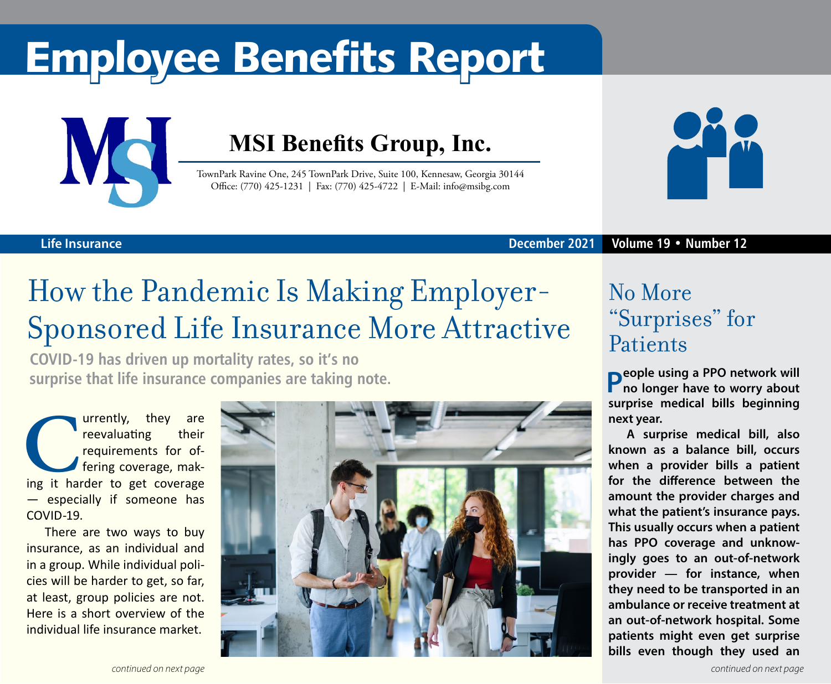# Employee Benefits Report



### **MSI Benefits Group, Inc.**

TownPark Ravine One, 245 TownPark Drive, Suite 100, Kennesaw, Georgia 30144 Office: (770) 425-1231 | Fax: (770) 425-4722 | E-Mail: info@msibg.com



**December 2021 Volume 19 • Number 12**

### **Life Insurance**

## How the Pandemic Is Making Employer-Sponsored Life Insurance More Attractive

**COVID-19 has driven up mortality rates, so it's no surprise that life insurance companies are taking note.**

**Currently, they are reevaluating** their requirements for offering coverage, making it harder to get coverage reevaluating their requirements for offering coverage, mak-— especially if someone has COVID-19.

There are two ways to buy insurance, as an individual and in a group. While individual policies will be harder to get, so far, at least, group policies are not. Here is a short overview of the individual life insurance market.



### No More "Surprises" for **Patients**

**People using a PPO network will no longer have to worry about surprise medical bills beginning next year.**

**A surprise medical bill, also known as a balance bill, occurs when a provider bills a patient for the difference between the amount the provider charges and what the patient's insurance pays. This usually occurs when a patient has PPO coverage and unknowingly goes to an out-of-network provider — for instance, when they need to be transported in an ambulance or receive treatment at an out-of-network hospital. Some patients might even get surprise bills even though they used an**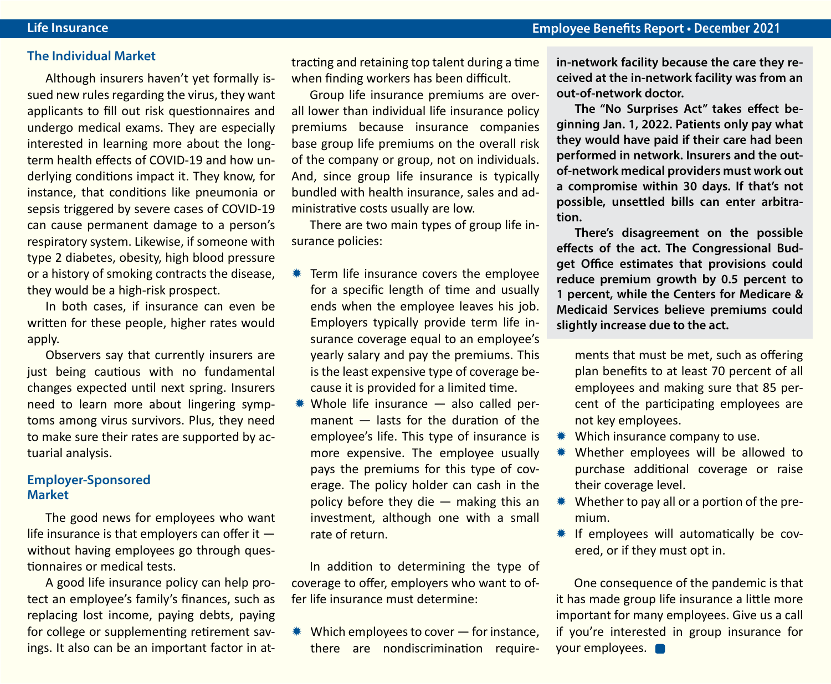#### **The Individual Market**

Although insurers haven't yet formally issued new rules regarding the virus, they want applicants to fill out risk questionnaires and undergo medical exams. They are especially interested in learning more about the longterm health effects of COVID-19 and how underlying conditions impact it. They know, for instance, that conditions like pneumonia or sepsis triggered by severe cases of COVID-19 can cause permanent damage to a person's respiratory system. Likewise, if someone with type 2 diabetes, obesity, high blood pressure or a history of smoking contracts the disease, they would be a high-risk prospect.

In both cases, if insurance can even be written for these people, higher rates would apply.

Observers say that currently insurers are just being cautious with no fundamental changes expected until next spring. Insurers need to learn more about lingering symptoms among virus survivors. Plus, they need to make sure their rates are supported by actuarial analysis.

#### **Employer-Sponsored Market**

The good news for employees who want life insurance is that employers can offer it  $$ without having employees go through questionnaires or medical tests.

A good life insurance policy can help protect an employee's family's finances, such as replacing lost income, paying debts, paying for college or supplementing retirement savings. It also can be an important factor in attracting and retaining top talent during a time when finding workers has been difficult.

Group life insurance premiums are overall lower than individual life insurance policy premiums because insurance companies base group life premiums on the overall risk of the company or group, not on individuals. And, since group life insurance is typically bundled with health insurance, sales and administrative costs usually are low.

There are two main types of group life insurance policies:

- $*$  Term life insurance covers the employee for a specific length of time and usually ends when the employee leaves his job. Employers typically provide term life insurance coverage equal to an employee's yearly salary and pay the premiums. This is the least expensive type of coverage because it is provided for a limited time.
- $*$  Whole life insurance  $-$  also called permanent — lasts for the duration of the employee's life. This type of insurance is more expensive. The employee usually pays the premiums for this type of coverage. The policy holder can cash in the policy before they die  $-$  making this an investment, although one with a small rate of return.

In addition to determining the type of coverage to offer, employers who want to offer life insurance must determine:

 $*$  Which employees to cover  $-$  for instance, there are nondiscrimination require**in-network facility because the care they received at the in-network facility was from an out-of-network doctor.**

**The "No Surprises Act" takes effect beginning Jan. 1, 2022. Patients only pay what they would have paid if their care had been performed in network. Insurers and the outof-network medical providers must work out a compromise within 30 days. If that's not possible, unsettled bills can enter arbitration.**

**There's disagreement on the possible effects of the act. The Congressional Budget Office estimates that provisions could reduce premium growth by 0.5 percent to 1 percent, while the Centers for Medicare & Medicaid Services believe premiums could slightly increase due to the act.**

ments that must be met, such as offering plan benefits to at least 70 percent of all employees and making sure that 85 percent of the participating employees are not key employees.

- $*$  Which insurance company to use.
- \* Whether employees will be allowed to purchase additional coverage or raise their coverage level.
- $*$  Whether to pay all or a portion of the premium.
- \* If employees will automatically be covered, or if they must opt in.

One consequence of the pandemic is that it has made group life insurance a little more important for many employees. Give us a call if you're interested in group insurance for your employees.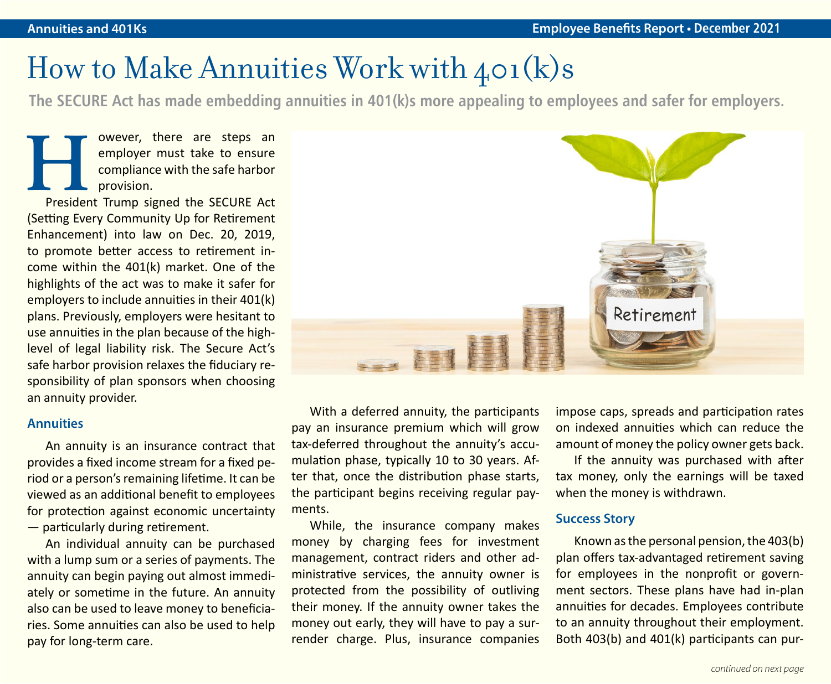### How to Make Annuities Work with 401(k)s

**The SECURE Act has made embedding annuities in 401(k)s more appealing to employees and safer for employers.**

**However, there are steps an employer must take to ensure compliance with the safe harbor** provision.<br>President Trump signed the SECURE Act employer must take to ensure compliance with the safe harbor provision.

(Setting Every Community Up for Retirement Enhancement) into law on Dec. 20, 2019, to promote better access to retirement income within the 401(k) market. One of the highlights of the act was to make it safer for employers to include annuities in their 401(k) plans. Previously, employers were hesitant to use annuities in the plan because of the highlevel of legal liability risk. The Secure Act's safe harbor provision relaxes the fiduciary responsibility of plan sponsors when choosing an annuity provider.

#### **Annuities**

An annuity is an insurance contract that provides a fixed income stream for a fixed period or a person's remaining lifetime. It can be viewed as an additional benefit to employees for protection against economic uncertainty — particularly during retirement.

An individual annuity can be purchased with a lump sum or a series of payments. The annuity can begin paying out almost immediately or sometime in the future. An annuity also can be used to leave money to beneficiaries. Some annuities can also be used to help pay for long-term care.



With a deferred annuity, the participants pay an insurance premium which will grow tax-deferred throughout the annuity's accumulation phase, typically 10 to 30 years. After that, once the distribution phase starts, the participant begins receiving regular payments.

While, the insurance company makes money by charging fees for investment management, contract riders and other administrative services, the annuity owner is protected from the possibility of outliving their money. If the annuity owner takes the money out early, they will have to pay a surrender charge. Plus, insurance companies impose caps, spreads and participation rates on indexed annuities which can reduce the amount of money the policy owner gets back.

If the annuity was purchased with after tax money, only the earnings will be taxed when the money is withdrawn.

#### **Success Story**

Known as the personal pension, the 403(b) plan offers tax-advantaged retirement saving for employees in the nonprofit or government sectors. These plans have had in-plan annuities for decades. Employees contribute to an annuity throughout their employment. Both 403(b) and 401(k) participants can pur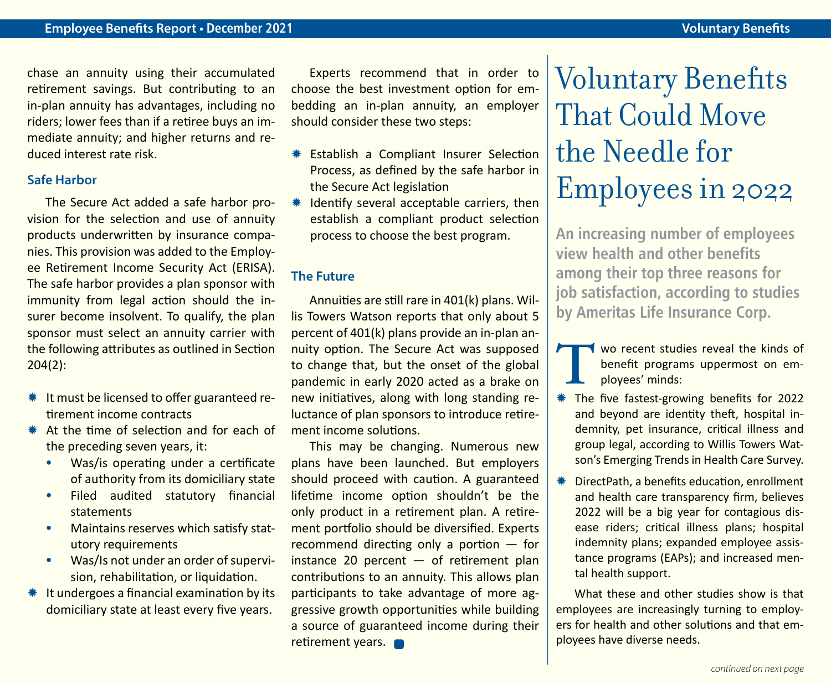chase an annuity using their accumulated retirement savings. But contributing to an in-plan annuity has advantages, including no riders; lower fees than if a retiree buys an immediate annuity; and higher returns and reduced interest rate risk.

#### **Safe Harbor**

The Secure Act added a safe harbor provision for the selection and use of annuity products underwritten by insurance companies. This provision was added to the Employee Retirement Income Security Act (ERISA). The safe harbor provides a plan sponsor with immunity from legal action should the insurer become insolvent. To qualify, the plan sponsor must select an annuity carrier with the following attributes as outlined in Section 204(2):

- $*$  It must be licensed to offer guaranteed retirement income contracts
- $*$  At the time of selection and for each of the preceding seven years, it:
	- **•** Was/is operating under a certificate of authority from its domiciliary state
	- **•** Filed audited statutory financial statements
	- **•** Maintains reserves which satisfy statutory requirements
	- **•** Was/Is not under an order of supervision, rehabilitation, or liquidation.
- $*$  It undergoes a financial examination by its domiciliary state at least every five years.

Experts recommend that in order to choose the best investment option for embedding an in-plan annuity, an employer should consider these two steps:

- **\*\*** Establish a Compliant Insurer Selection Process, as defined by the safe harbor in the Secure Act legislation
- Identify several acceptable carriers, then establish a compliant product selection process to choose the best program.

### **The Future**

Annuities are still rare in 401(k) plans. Willis Towers Watson reports that only about 5 percent of 401(k) plans provide an in-plan annuity option. The Secure Act was supposed to change that, but the onset of the global pandemic in early 2020 acted as a brake on new initiatives, along with long standing reluctance of plan sponsors to introduce retirement income solutions.

This may be changing. Numerous new plans have been launched. But employers should proceed with caution. A guaranteed lifetime income option shouldn't be the only product in a retirement plan. A retirement portfolio should be diversified. Experts recommend directing only a portion — for instance 20 percent  $-$  of retirement plan contributions to an annuity. This allows plan participants to take advantage of more aggressive growth opportunities while building a source of guaranteed income during their retirement years.

# Voluntary Benefits That Could Move the Needle for Employees in 2022

**An increasing number of employees view health and other benefits among their top three reasons for job satisfaction, according to studies by Ameritas Life Insurance Corp.**

- **THE WAS CONSIDENT WATER WAS CONSIDENT WATER OF STATE THE CONSIDER THE THE CONSIDER STATE THE CONSIDER STATE THE CONSIDER STATE OF 2022.** benefit programs uppermost on employees' minds:
- \* The five fastest-growing benefits for 2022 and beyond are identity theft, hospital indemnity, pet insurance, critical illness and group legal, according to Willis Towers Watson's Emerging Trends in Health Care Survey.
- $*$  DirectPath, a benefits education, enrollment and health care transparency firm, believes 2022 will be a big year for contagious disease riders; critical illness plans; hospital indemnity plans; expanded employee assistance programs (EAPs); and increased mental health support.

What these and other studies show is that employees are increasingly turning to employers for health and other solutions and that employees have diverse needs.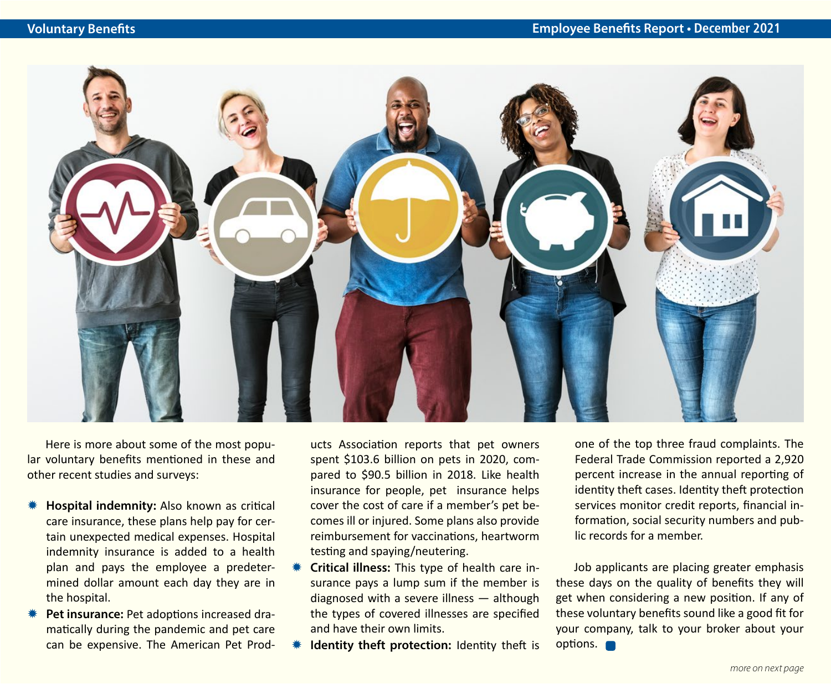

Here is more about some of the most popular voluntary benefits mentioned in these and other recent studies and surveys:

- **Hospital indemnity:** Also known as critical care insurance, these plans help pay for certain unexpected medical expenses. Hospital indemnity insurance is added to a health plan and pays the employee a predetermined dollar amount each day they are in the hospital.
- Pet insurance: Pet adoptions increased dramatically during the pandemic and pet care can be expensive. The American Pet Prod-

ucts Association reports that pet owners spent \$103.6 billion on pets in 2020, compared to \$90.5 billion in 2018. Like health insurance for people, pet insurance helps cover the cost of care if a member's pet becomes ill or injured. Some plans also provide reimbursement for vaccinations, heartworm testing and spaying/neutering.

- Critical illness: This type of health care insurance pays a lump sum if the member is diagnosed with a severe illness — although the types of covered illnesses are specified and have their own limits.
- **Identity theft protection:** Identity theft is

one of the top three fraud complaints. The Federal Trade Commission reported a 2,920 percent increase in the annual reporting of identity theft cases. Identity theft protection services monitor credit reports, financial information, social security numbers and public records for a member.

Job applicants are placing greater emphasis these days on the quality of benefits they will get when considering a new position. If any of these voluntary benefits sound like a good fit for your company, talk to your broker about your options. **On**